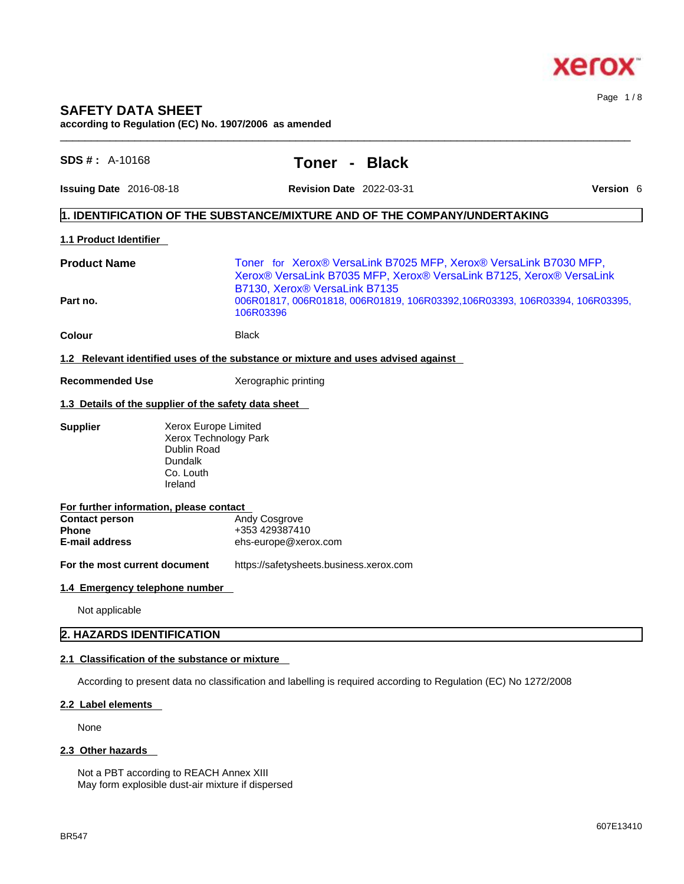

# **SAFETY DATA SHEET according to Regulation (EC) No. 1907/2006 as amended**

| $SDS #: A-10168$                                               |                                                                                                 | Toner -<br><b>Black</b>                                                                                                                   |                  |
|----------------------------------------------------------------|-------------------------------------------------------------------------------------------------|-------------------------------------------------------------------------------------------------------------------------------------------|------------------|
| <b>Issuing Date</b> 2016-08-18                                 |                                                                                                 | <b>Revision Date 2022-03-31</b>                                                                                                           | <b>Version 6</b> |
|                                                                |                                                                                                 | $\vert$ 1. IDENTIFICATION OF THE SUBSTANCE/MIXTURE AND OF THE COMPANY/UNDERTAKING                                                         |                  |
| 1.1 Product Identifier                                         |                                                                                                 |                                                                                                                                           |                  |
| <b>Product Name</b>                                            |                                                                                                 | Toner for Xerox® VersaLink B7025 MFP, Xerox® VersaLink B7030 MFP,<br>Xerox® VersaLink B7035 MFP, Xerox® VersaLink B7125, Xerox® VersaLink |                  |
| Part no.                                                       |                                                                                                 | B7130, Xerox® VersaLink B7135<br>006R01817, 006R01818, 006R01819, 106R03392, 106R03393, 106R03394, 106R03395,<br>106R03396                |                  |
| Colour                                                         |                                                                                                 | <b>Black</b>                                                                                                                              |                  |
|                                                                |                                                                                                 | 1.2 Relevant identified uses of the substance or mixture and uses advised against                                                         |                  |
| <b>Recommended Use</b>                                         |                                                                                                 | Xerographic printing                                                                                                                      |                  |
| 1.3 Details of the supplier of the safety data sheet           |                                                                                                 |                                                                                                                                           |                  |
| <b>Supplier</b>                                                | Xerox Europe Limited<br>Xerox Technology Park<br>Dublin Road<br>Dundalk<br>Co. Louth<br>Ireland |                                                                                                                                           |                  |
| For further information, please contact                        |                                                                                                 |                                                                                                                                           |                  |
| <b>Contact person</b><br><b>Phone</b><br><b>E-mail address</b> |                                                                                                 | Andy Cosgrove<br>+353 429387410<br>ehs-europe@xerox.com                                                                                   |                  |
| For the most current document                                  |                                                                                                 | https://safetysheets.business.xerox.com                                                                                                   |                  |
| 1.4 Emergency telephone number                                 |                                                                                                 |                                                                                                                                           |                  |
| Not applicable                                                 |                                                                                                 |                                                                                                                                           |                  |
|                                                                | 2. HAZARDS IDENTIFICATION                                                                       |                                                                                                                                           |                  |

 $\_$  ,  $\_$  ,  $\_$  ,  $\_$  ,  $\_$  ,  $\_$  ,  $\_$  ,  $\_$  ,  $\_$  ,  $\_$  ,  $\_$  ,  $\_$  ,  $\_$  ,  $\_$  ,  $\_$  ,  $\_$  ,  $\_$  ,  $\_$  ,  $\_$  ,  $\_$  ,  $\_$  ,  $\_$  ,  $\_$  ,  $\_$  ,  $\_$  ,  $\_$  ,  $\_$  ,  $\_$  ,  $\_$  ,  $\_$  ,  $\_$  ,  $\_$  ,  $\_$  ,  $\_$  ,  $\_$  ,  $\_$  ,  $\_$  ,

#### **2.2 Label elements**

None

# **2.3 Other hazards**

Not a PBT according to REACH Annex XIII May form explosible dust-air mixture if dispersed Page 1 / 8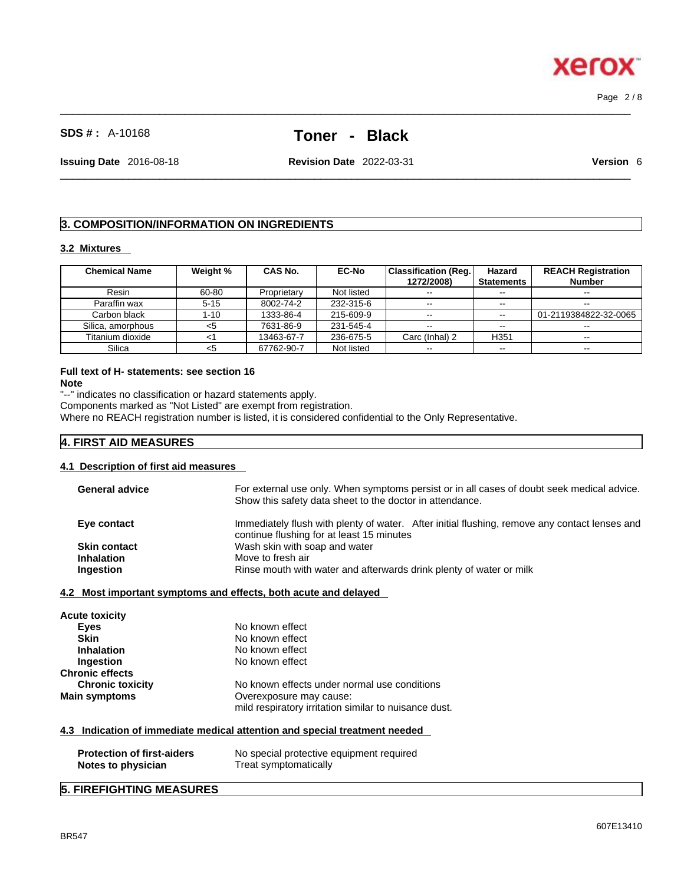# **SDS # :** A-10168 **Toner - Black**

 $\_$  ,  $\_$  ,  $\_$  ,  $\_$  ,  $\_$  ,  $\_$  ,  $\_$  ,  $\_$  ,  $\_$  ,  $\_$  ,  $\_$  ,  $\_$  ,  $\_$  ,  $\_$  ,  $\_$  ,  $\_$  ,  $\_$  ,  $\_$  ,  $\_$  ,  $\_$  ,  $\_$  ,  $\_$  ,  $\_$  ,  $\_$  ,  $\_$  ,  $\_$  ,  $\_$  ,  $\_$  ,  $\_$  ,  $\_$  ,  $\_$  ,  $\_$  ,  $\_$  ,  $\_$  ,  $\_$  ,  $\_$  ,  $\_$  ,

 $\_$  ,  $\_$  ,  $\_$  ,  $\_$  ,  $\_$  ,  $\_$  ,  $\_$  ,  $\_$  ,  $\_$  ,  $\_$  ,  $\_$  ,  $\_$  ,  $\_$  ,  $\_$  ,  $\_$  ,  $\_$  ,  $\_$  ,  $\_$  ,  $\_$  ,  $\_$  ,  $\_$  ,  $\_$  ,  $\_$  ,  $\_$  ,  $\_$  ,  $\_$  ,  $\_$  ,  $\_$  ,  $\_$  ,  $\_$  ,  $\_$  ,  $\_$  ,  $\_$  ,  $\_$  ,  $\_$  ,  $\_$  ,  $\_$  ,

**Issuing Date** 2016-08-18 **Revision Date** 2022-03-31 **Version** 6

# **3. COMPOSITION/INFORMATION ON INGREDIENTS**

#### **3.2 Mixtures**

| <b>Chemical Name</b> | Weight % | <b>CAS No.</b> | <b>EC-No</b> | <b>Classification (Reg.)</b> | Hazard            | <b>REACH Registration</b> |
|----------------------|----------|----------------|--------------|------------------------------|-------------------|---------------------------|
|                      |          |                |              | 1272/2008)                   | <b>Statements</b> | <b>Number</b>             |
| Resin                | 60-80    | Proprietary    | Not listed   | $\sim$ $\sim$                | $-1$              |                           |
| Paraffin wax         | $5 - 15$ | 8002-74-2      | 232-315-6    | $- -$                        | $-1$              | $- -$                     |
| Carbon black         | 1-10     | 1333-86-4      | 215-609-9    | $- -$                        | $\sim$ $\sim$     | 01-2119384822-32-0065     |
| Silica, amorphous    | <5       | 7631-86-9      | 231-545-4    | $\sim$ $\sim$                | $\sim$ $\sim$     |                           |
| Titanium dioxide     |          | 13463-67-7     | 236-675-5    | Carc (Inhal) 2               | H <sub>351</sub>  | $- -$                     |
| Silica               | <5       | 67762-90-7     | Not listed   | $- -$                        | $\sim$ $\sim$     | $\overline{\phantom{a}}$  |

# **Full text of H- statements: see section 16**

**Note**

"--" indicates no classification or hazard statements apply. Components marked as "Not Listed" are exempt from registration.

Where no REACH registration number is listed, it is considered confidential to the Only Representative.

# **4. FIRST AID MEASURES**

## **4.1 Description of first aid measures**

| For external use only. When symptoms persist or in all cases of doubt seek medical advice.<br><b>General advice</b><br>Show this safety data sheet to the doctor in attendance. |  |
|---------------------------------------------------------------------------------------------------------------------------------------------------------------------------------|--|
| Immediately flush with plenty of water. After initial flushing, remove any contact lenses and<br>Eye contact<br>continue flushing for at least 15 minutes                       |  |
| Wash skin with soap and water<br><b>Skin contact</b>                                                                                                                            |  |
| <b>Inhalation</b><br>Move to fresh air                                                                                                                                          |  |
| Rinse mouth with water and afterwards drink plenty of water or milk<br>Ingestion                                                                                                |  |

#### **4.2 Most important symptoms and effects, both acute and delayed**

| <b>Acute toxicity</b>   |                                                       |
|-------------------------|-------------------------------------------------------|
| Eyes                    | No known effect                                       |
| <b>Skin</b>             | No known effect                                       |
| <b>Inhalation</b>       | No known effect                                       |
| Ingestion               | No known effect                                       |
| <b>Chronic effects</b>  |                                                       |
| <b>Chronic toxicity</b> | No known effects under normal use conditions          |
| <b>Main symptoms</b>    | Overexposure may cause:                               |
|                         | mild respiratory irritation similar to nuisance dust. |
|                         |                                                       |

## **4.3 Indication of immediate medical attention and special treatment needed**

| <b>Protection of first-aiders</b> | No special protective equipment required |
|-----------------------------------|------------------------------------------|
| Notes to physician                | Treat symptomatically                    |

# **5. FIREFIGHTING MEASURES**



Page 2 / 8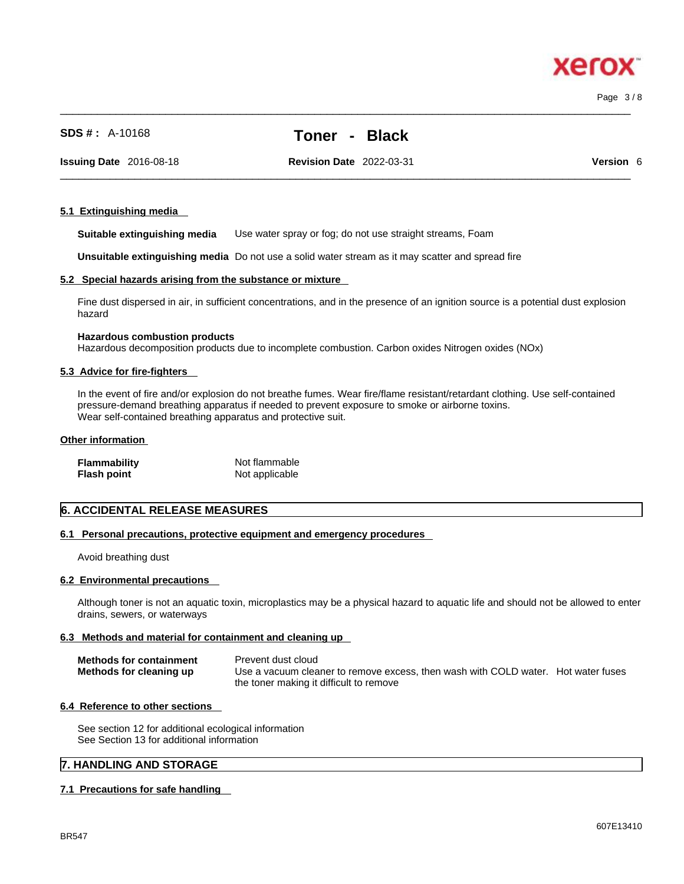$\_$  ,  $\_$  ,  $\_$  ,  $\_$  ,  $\_$  ,  $\_$  ,  $\_$  ,  $\_$  ,  $\_$  ,  $\_$  ,  $\_$  ,  $\_$  ,  $\_$  ,  $\_$  ,  $\_$  ,  $\_$  ,  $\_$  ,  $\_$  ,  $\_$  ,  $\_$  ,  $\_$  ,  $\_$  ,  $\_$  ,  $\_$  ,  $\_$  ,  $\_$  ,  $\_$  ,  $\_$  ,  $\_$  ,  $\_$  ,  $\_$  ,  $\_$  ,  $\_$  ,  $\_$  ,  $\_$  ,  $\_$  ,  $\_$  ,

**Issuing Date** 2016-08-18 **Revision Date** 2022-03-31 **Version** 6

 $\_$  ,  $\_$  ,  $\_$  ,  $\_$  ,  $\_$  ,  $\_$  ,  $\_$  ,  $\_$  ,  $\_$  ,  $\_$  ,  $\_$  ,  $\_$  ,  $\_$  ,  $\_$  ,  $\_$  ,  $\_$  ,  $\_$  ,  $\_$  ,  $\_$  ,  $\_$  ,  $\_$  ,  $\_$  ,  $\_$  ,  $\_$  ,  $\_$  ,  $\_$  ,  $\_$  ,  $\_$  ,  $\_$  ,  $\_$  ,  $\_$  ,  $\_$  ,  $\_$  ,  $\_$  ,  $\_$  ,  $\_$  ,  $\_$  ,

Page 3 / 8

# **5.1 Extinguishing media**

**Suitable extinguishing media** Use water spray or fog; do not use straight streams, Foam

**Unsuitable extinguishing media** Do not use a solid water stream as it may scatterand spread fire

# **5.2 Special hazards arising from the substance or mixture**

**SDS # :** A-10168 **Toner - Black**

Fine dust dispersed in air, in sufficient concentrations, and in the presence of an ignition source is a potential dust explosion hazard

# **Hazardous combustion products**

Hazardous decomposition products due to incomplete combustion. Carbon oxides Nitrogen oxides (NOx)

# **5.3 Advice for fire-fighters**

In the event of fire and/or explosion do not breathe fumes. Wear fire/flame resistant/retardant clothing. Use self-contained pressure-demand breathing apparatus if needed to prevent exposure to smoke or airborne toxins. Wear self-contained breathing apparatus and protective suit.

#### **Other information**

| <b>Flammability</b> | Not flammable  |
|---------------------|----------------|
| <b>Flash point</b>  | Not applicable |

# **6. ACCIDENTAL RELEASE MEASURES**

# **6.1 Personal precautions, protective equipment and emergency procedures**

Avoid breathing dust

# **6.2 Environmental precautions**

Although toner is not an aquatic toxin, microplastics may be a physical hazard to aquatic life and should not be allowed to enter drains, sewers, or waterways

# **6.3 Methods and material for containment and cleaning up**

| <b>Methods for containment</b><br>Methods for cleaning up | Prevent dust cloud<br>Use a vacuum cleaner to remove excess, then wash with COLD water. Hot water fuses |  |
|-----------------------------------------------------------|---------------------------------------------------------------------------------------------------------|--|
|                                                           | the toner making it difficult to remove                                                                 |  |

# **6.4 Reference to other sections**

See section 12 for additional ecological information See Section 13 for additional information

# **7. HANDLING AND STORAGE**

# **7.1 Precautions for safe handling**

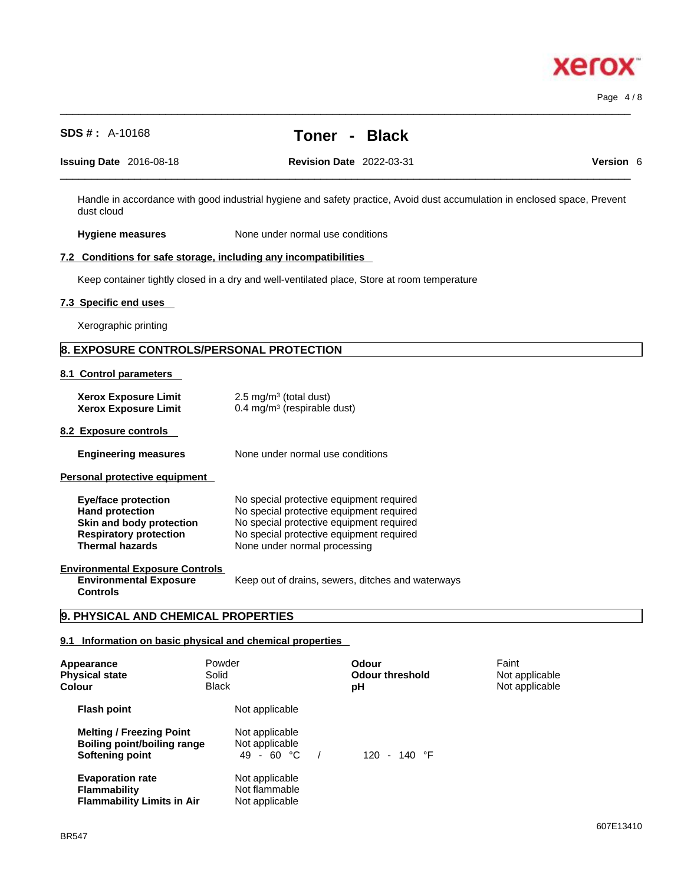| <b>SDS #: A-10168</b>                                                                                                                       |                                                             | Toner -<br><b>Black</b>                                                                                                                                                      |                                                                                                                           |
|---------------------------------------------------------------------------------------------------------------------------------------------|-------------------------------------------------------------|------------------------------------------------------------------------------------------------------------------------------------------------------------------------------|---------------------------------------------------------------------------------------------------------------------------|
| Issuing Date 2016-08-18                                                                                                                     |                                                             | <b>Revision Date 2022-03-31</b>                                                                                                                                              | Version 6                                                                                                                 |
| dust cloud                                                                                                                                  |                                                             |                                                                                                                                                                              | Handle in accordance with good industrial hygiene and safety practice, Avoid dust accumulation in enclosed space, Prevent |
| <b>Hygiene measures</b>                                                                                                                     | None under normal use conditions                            |                                                                                                                                                                              |                                                                                                                           |
| 7.2 Conditions for safe storage, including any incompatibilities                                                                            |                                                             |                                                                                                                                                                              |                                                                                                                           |
|                                                                                                                                             |                                                             | Keep container tightly closed in a dry and well-ventilated place, Store at room temperature                                                                                  |                                                                                                                           |
| 7.3 Specific end uses                                                                                                                       |                                                             |                                                                                                                                                                              |                                                                                                                           |
| Xerographic printing                                                                                                                        |                                                             |                                                                                                                                                                              |                                                                                                                           |
| 8. EXPOSURE CONTROLS/PERSONAL PROTECTION                                                                                                    |                                                             |                                                                                                                                                                              |                                                                                                                           |
| 8.1 Control parameters                                                                                                                      |                                                             |                                                                                                                                                                              |                                                                                                                           |
| <b>Xerox Exposure Limit</b><br><b>Xerox Exposure Limit</b>                                                                                  | 2.5 mg/m $3$ (total dust)<br>0.4 mg/m $3$ (respirable dust) |                                                                                                                                                                              |                                                                                                                           |
| 8.2 Exposure controls                                                                                                                       |                                                             |                                                                                                                                                                              |                                                                                                                           |
| <b>Engineering measures</b>                                                                                                                 | None under normal use conditions                            |                                                                                                                                                                              |                                                                                                                           |
| Personal protective equipment                                                                                                               |                                                             |                                                                                                                                                                              |                                                                                                                           |
| <b>Eye/face protection</b><br><b>Hand protection</b><br>Skin and body protection<br><b>Respiratory protection</b><br><b>Thermal hazards</b> | None under normal processing                                | No special protective equipment required<br>No special protective equipment required<br>No special protective equipment required<br>No special protective equipment required |                                                                                                                           |
| <b>Environmental Exposure Controls</b><br><b>Environmental Exposure</b><br><b>Controls</b>                                                  |                                                             | Keep out of drains, sewers, ditches and waterways                                                                                                                            |                                                                                                                           |
| 9. PHYSICAL AND CHEMICAL PROPERTIES                                                                                                         |                                                             |                                                                                                                                                                              |                                                                                                                           |
| 9.1 Information on basic physical and chemical properties                                                                                   |                                                             |                                                                                                                                                                              |                                                                                                                           |
| Appearance<br><b>Physical state</b><br><b>Colour</b>                                                                                        | Powder<br>Solid<br><b>Black</b>                             | <b>Odour</b><br><b>Odour threshold</b><br>рH                                                                                                                                 | Faint<br>Not applicable<br>Not applicable                                                                                 |
| <b>Flash point</b>                                                                                                                          | Not applicable                                              |                                                                                                                                                                              |                                                                                                                           |
| <b>Melting / Freezing Point</b><br><b>Boiling point/boiling range</b><br><b>Softening point</b>                                             | Not applicable<br>Not applicable<br>49 - 60 °C              | 120 - 140 °F                                                                                                                                                                 |                                                                                                                           |

 $\_$  ,  $\_$  ,  $\_$  ,  $\_$  ,  $\_$  ,  $\_$  ,  $\_$  ,  $\_$  ,  $\_$  ,  $\_$  ,  $\_$  ,  $\_$  ,  $\_$  ,  $\_$  ,  $\_$  ,  $\_$  ,  $\_$  ,  $\_$  ,  $\_$  ,  $\_$  ,  $\_$  ,  $\_$  ,  $\_$  ,  $\_$  ,  $\_$  ,  $\_$  ,  $\_$  ,  $\_$  ,  $\_$  ,  $\_$  ,  $\_$  ,  $\_$  ,  $\_$  ,  $\_$  ,  $\_$  ,  $\_$  ,  $\_$  ,

**Evaporation rate Reserve Structure Not applicable Flammability** Not flammable **Flammability Limits in Air** Not applicable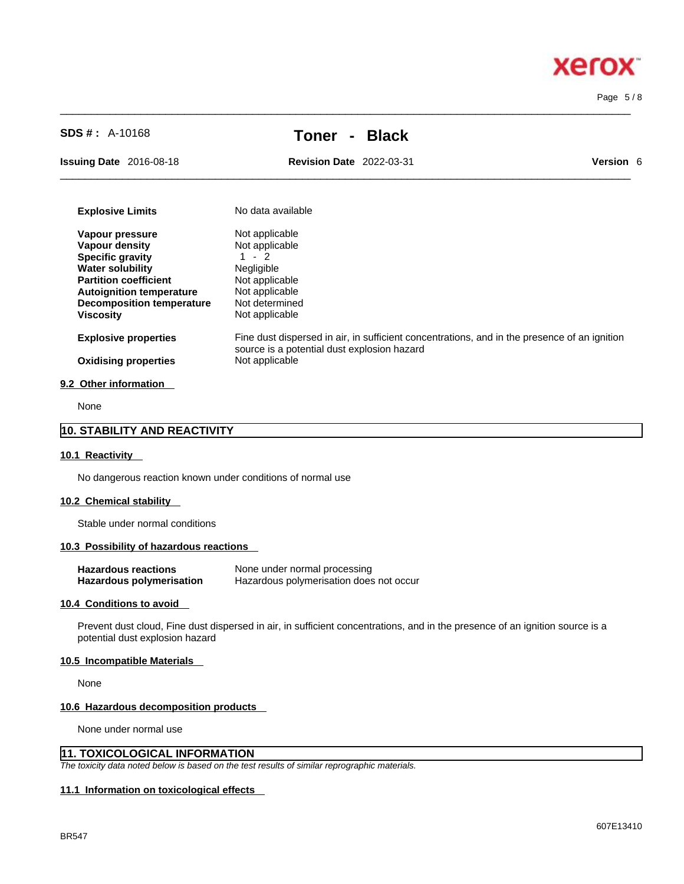Page 5 / 8

**Xerox** 

| $SDS #: A-10168$                                                                                                                                                                                                          | Toner                                                                                                                             | <b>Black</b>                                                                                 |                  |
|---------------------------------------------------------------------------------------------------------------------------------------------------------------------------------------------------------------------------|-----------------------------------------------------------------------------------------------------------------------------------|----------------------------------------------------------------------------------------------|------------------|
| Issuing Date 2016-08-18                                                                                                                                                                                                   | <b>Revision Date 2022-03-31</b>                                                                                                   |                                                                                              | <b>Version 6</b> |
| <b>Explosive Limits</b>                                                                                                                                                                                                   | No data available                                                                                                                 |                                                                                              |                  |
| Vapour pressure<br><b>Vapour density</b><br><b>Specific gravity</b><br><b>Water solubility</b><br><b>Partition coefficient</b><br><b>Autoignition temperature</b><br><b>Decomposition temperature</b><br><b>Viscosity</b> | Not applicable<br>Not applicable<br>$1 - 2$<br>Negligible<br>Not applicable<br>Not applicable<br>Not determined<br>Not applicable |                                                                                              |                  |
| <b>Explosive properties</b><br><b>Oxidising properties</b>                                                                                                                                                                | source is a potential dust explosion hazard<br>Not applicable                                                                     | Fine dust dispersed in air, in sufficient concentrations, and in the presence of an ignition |                  |
| $0.0.01$ kan infannaatian                                                                                                                                                                                                 |                                                                                                                                   |                                                                                              |                  |

 $\_$  ,  $\_$  ,  $\_$  ,  $\_$  ,  $\_$  ,  $\_$  ,  $\_$  ,  $\_$  ,  $\_$  ,  $\_$  ,  $\_$  ,  $\_$  ,  $\_$  ,  $\_$  ,  $\_$  ,  $\_$  ,  $\_$  ,  $\_$  ,  $\_$  ,  $\_$  ,  $\_$  ,  $\_$  ,  $\_$  ,  $\_$  ,  $\_$  ,  $\_$  ,  $\_$  ,  $\_$  ,  $\_$  ,  $\_$  ,  $\_$  ,  $\_$  ,  $\_$  ,  $\_$  ,  $\_$  ,  $\_$  ,  $\_$  ,

#### **9.2 Other information**

None

# **10. STABILITY AND REACTIVITY**

#### **10.1 Reactivity**

No dangerous reaction known under conditions of normal use

#### **10.2 Chemical stability**

Stable under normal conditions

## **10.3 Possibility of hazardous reactions**

| <b>Hazardous reactions</b> | None under normal processing            |
|----------------------------|-----------------------------------------|
| Hazardous polymerisation   | Hazardous polymerisation does not occur |

#### **10.4 Conditions to avoid**

Prevent dust cloud, Fine dust dispersed in air, in sufficient concentrations, and in the presence of an ignition source is a potential dust explosion hazard

#### **10.5 Incompatible Materials**

None

#### **10.6 Hazardous decomposition products**

None under normal use

## **11. TOXICOLOGICAL INFORMATION**

*The toxicity data noted below is based on the test results of similar reprographic materials.* 

#### **11.1 Information on toxicological effects**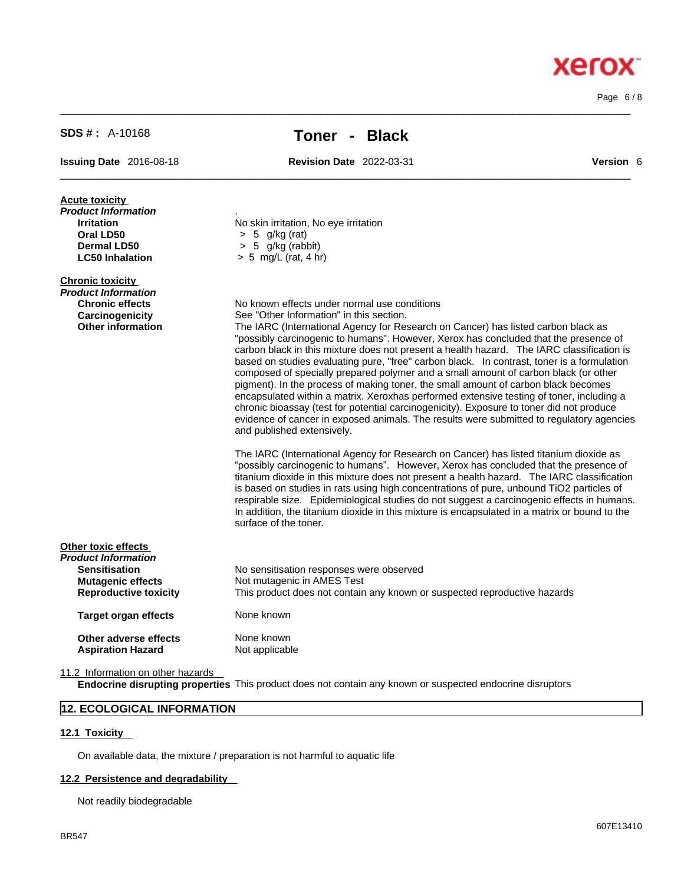Page 6 / 8

**Xerox** 

| <b>SDS #: A-10168</b>                                                                                                          | <b>Black</b><br>Toner -                                                                                                                                                                                                                                                                                                                                                                                                                                                                                                                                                                                                                                                                                                                                                                                                                                                                                                                                                                                                                                                                                                                                                                                                                                                                                                                                                                                                                                                                                                                                           |                  |
|--------------------------------------------------------------------------------------------------------------------------------|-------------------------------------------------------------------------------------------------------------------------------------------------------------------------------------------------------------------------------------------------------------------------------------------------------------------------------------------------------------------------------------------------------------------------------------------------------------------------------------------------------------------------------------------------------------------------------------------------------------------------------------------------------------------------------------------------------------------------------------------------------------------------------------------------------------------------------------------------------------------------------------------------------------------------------------------------------------------------------------------------------------------------------------------------------------------------------------------------------------------------------------------------------------------------------------------------------------------------------------------------------------------------------------------------------------------------------------------------------------------------------------------------------------------------------------------------------------------------------------------------------------------------------------------------------------------|------------------|
| Issuing Date 2016-08-18                                                                                                        | <b>Revision Date 2022-03-31</b>                                                                                                                                                                                                                                                                                                                                                                                                                                                                                                                                                                                                                                                                                                                                                                                                                                                                                                                                                                                                                                                                                                                                                                                                                                                                                                                                                                                                                                                                                                                                   | <b>Version 6</b> |
| <b>Acute toxicity</b><br>Product Information<br><b>Irritation</b><br>Oral LD50<br><b>Dermal LD50</b><br><b>LC50 Inhalation</b> | No skin irritation, No eye irritation<br>$> 5$ g/kg (rat)<br>> 5 g/kg (rabbit)<br>$> 5$ mg/L (rat, 4 hr)                                                                                                                                                                                                                                                                                                                                                                                                                                                                                                                                                                                                                                                                                                                                                                                                                                                                                                                                                                                                                                                                                                                                                                                                                                                                                                                                                                                                                                                          |                  |
| <b>Chronic toxicity</b><br>Product Information<br><b>Chronic effects</b><br>Carcinogenicity<br><b>Other information</b>        | No known effects under normal use conditions<br>See "Other Information" in this section.<br>The IARC (International Agency for Research on Cancer) has listed carbon black as<br>"possibly carcinogenic to humans". However, Xerox has concluded that the presence of<br>carbon black in this mixture does not present a health hazard. The IARC classification is<br>based on studies evaluating pure, "free" carbon black. In contrast, toner is a formulation<br>composed of specially prepared polymer and a small amount of carbon black (or other<br>pigment). In the process of making toner, the small amount of carbon black becomes<br>encapsulated within a matrix. Xeroxhas performed extensive testing of toner, including a<br>chronic bioassay (test for potential carcinogenicity). Exposure to toner did not produce<br>evidence of cancer in exposed animals. The results were submitted to regulatory agencies<br>and published extensively.<br>The IARC (International Agency for Research on Cancer) has listed titanium dioxide as<br>"possibly carcinogenic to humans". However, Xerox has concluded that the presence of<br>titanium dioxide in this mixture does not present a health hazard. The IARC classification<br>is based on studies in rats using high concentrations of pure, unbound TiO2 particles of<br>respirable size. Epidemiological studies do not suggest a carcinogenic effects in humans.<br>In addition, the titanium dioxide in this mixture is encapsulated in a matrix or bound to the<br>surface of the toner. |                  |
| Other toxic effects<br>Product Information<br><b>Sensitisation</b><br><b>Mutagenic effects</b><br><b>Reproductive toxicity</b> | No sensitisation responses were observed<br>Not mutagenic in AMES Test<br>This product does not contain any known or suspected reproductive hazards                                                                                                                                                                                                                                                                                                                                                                                                                                                                                                                                                                                                                                                                                                                                                                                                                                                                                                                                                                                                                                                                                                                                                                                                                                                                                                                                                                                                               |                  |
| <b>Target organ effects</b>                                                                                                    | None known                                                                                                                                                                                                                                                                                                                                                                                                                                                                                                                                                                                                                                                                                                                                                                                                                                                                                                                                                                                                                                                                                                                                                                                                                                                                                                                                                                                                                                                                                                                                                        |                  |
| Other adverse effects<br>Acniration Hazard                                                                                     | None known<br>Not applicable                                                                                                                                                                                                                                                                                                                                                                                                                                                                                                                                                                                                                                                                                                                                                                                                                                                                                                                                                                                                                                                                                                                                                                                                                                                                                                                                                                                                                                                                                                                                      |                  |

 $\_$  ,  $\_$  ,  $\_$  ,  $\_$  ,  $\_$  ,  $\_$  ,  $\_$  ,  $\_$  ,  $\_$  ,  $\_$  ,  $\_$  ,  $\_$  ,  $\_$  ,  $\_$  ,  $\_$  ,  $\_$  ,  $\_$  ,  $\_$  ,  $\_$  ,  $\_$  ,  $\_$  ,  $\_$  ,  $\_$  ,  $\_$  ,  $\_$  ,  $\_$  ,  $\_$  ,  $\_$  ,  $\_$  ,  $\_$  ,  $\_$  ,  $\_$  ,  $\_$  ,  $\_$  ,  $\_$  ,  $\_$  ,  $\_$  ,

**Aspiration Hazard** Not applicable

11.2 Information on other hazards

**Endocrine disrupting properties** This product does not contain any known or suspected endocrine disruptors

# **12. ECOLOGICAL INFORMATION**

# **12.1 Toxicity**

On available data, the mixture / preparation is not harmful to aquatic life

# **12.2 Persistence and degradability**

Not readily biodegradable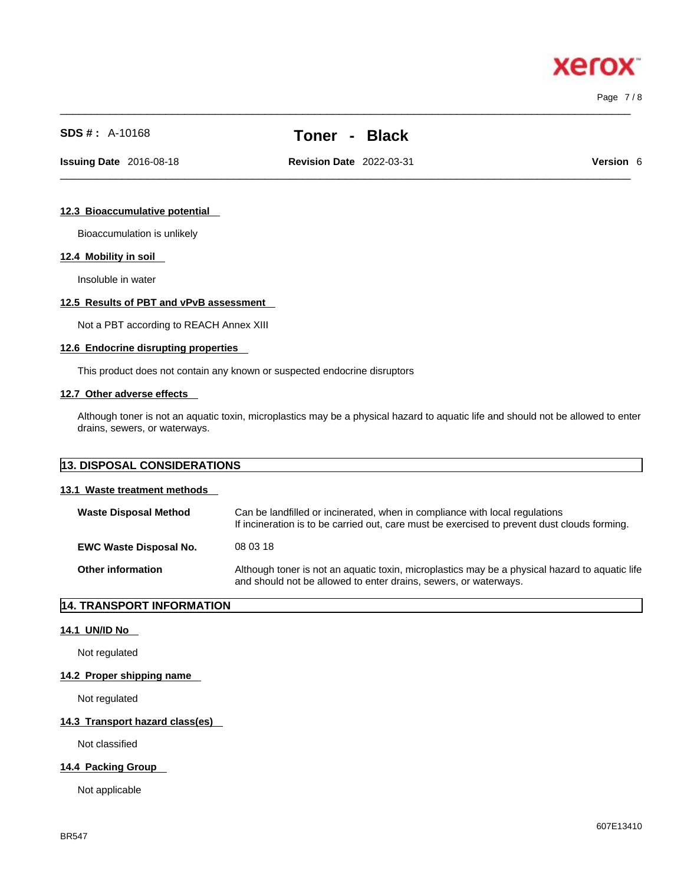$\_$  ,  $\_$  ,  $\_$  ,  $\_$  ,  $\_$  ,  $\_$  ,  $\_$  ,  $\_$  ,  $\_$  ,  $\_$  ,  $\_$  ,  $\_$  ,  $\_$  ,  $\_$  ,  $\_$  ,  $\_$  ,  $\_$  ,  $\_$  ,  $\_$  ,  $\_$  ,  $\_$  ,  $\_$  ,  $\_$  ,  $\_$  ,  $\_$  ,  $\_$  ,  $\_$  ,  $\_$  ,  $\_$  ,  $\_$  ,  $\_$  ,  $\_$  ,  $\_$  ,  $\_$  ,  $\_$  ,  $\_$  ,  $\_$  , Page 7 / 8

xero

# **SDS # :** A-10168 **Toner - Black**

 $\_$  ,  $\_$  ,  $\_$  ,  $\_$  ,  $\_$  ,  $\_$  ,  $\_$  ,  $\_$  ,  $\_$  ,  $\_$  ,  $\_$  ,  $\_$  ,  $\_$  ,  $\_$  ,  $\_$  ,  $\_$  ,  $\_$  ,  $\_$  ,  $\_$  ,  $\_$  ,  $\_$  ,  $\_$  ,  $\_$  ,  $\_$  ,  $\_$  ,  $\_$  ,  $\_$  ,  $\_$  ,  $\_$  ,  $\_$  ,  $\_$  ,  $\_$  ,  $\_$  ,  $\_$  ,  $\_$  ,  $\_$  ,  $\_$  , **Issuing Date** 2016-08-18 **Revision Date** 2022-03-31 **Version** 6

#### **12.3 Bioaccumulative potential**

Bioaccumulation is unlikely

## **12.4 Mobility in soil**

Insoluble in water

#### **12.5 Results of PBT and vPvB assessment**

Not a PBT according to REACH Annex XIII

#### **12.6 Endocrine disrupting properties**

This product does not contain any known or suspected endocrine disruptors

#### **12.7 Other adverse effects**

Although toner is not an aquatic toxin, microplastics may be a physical hazard to aquatic life and should not be allowed to enter drains, sewers, or waterways.

| <b>13. DISPOSAL CONSIDERATIONS</b> |                                                                                                                                                                             |  |  |  |  |
|------------------------------------|-----------------------------------------------------------------------------------------------------------------------------------------------------------------------------|--|--|--|--|
| 13.1 Waste treatment methods       |                                                                                                                                                                             |  |  |  |  |
| <b>Waste Disposal Method</b>       | Can be landfilled or incinerated, when in compliance with local regulations<br>If incineration is to be carried out, care must be exercised to prevent dust clouds forming. |  |  |  |  |
| <b>EWC Waste Disposal No.</b>      | 08 03 18                                                                                                                                                                    |  |  |  |  |

**Other information** Although toner is not an aquatic toxin, microplastics may be a physical hazard to aquatic life and should not be allowed to enter drains, sewers, or waterways.

## **14. TRANSPORT INFORMATION**

#### **14.1 UN/ID No**

Not regulated

#### **14.2 Proper shipping name**

Not regulated

## **14.3 Transport hazard class(es)**

Not classified

# **14.4 Packing Group**

Not applicable